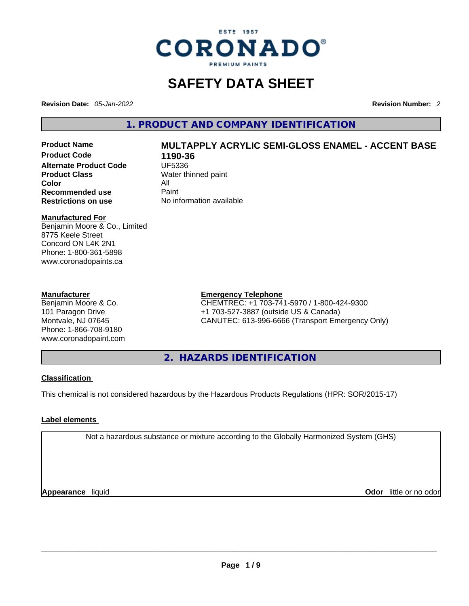

# **SAFETY DATA SHEET**

**Revision Date:** *05-Jan-2022* **Revision Number:** *2*

**1. PRODUCT AND COMPANY IDENTIFICATION** 

**Product Code 1190-36 Alternate Product Code CODE UF5336 Product Class Water thinned paint**<br> **Color Color** All **Recommended use** Paint<br> **Restrictions on use** Mo information available **Restrictions** on use

# **Product Name MULTAPPLY ACRYLIC SEMI-GLOSS ENAMEL - ACCENT BASE**

#### **Manufactured For**

Benjamin Moore & Co., Limited 8775 Keele Street Concord ON L4K 2N1 Phone: 1-800-361-5898 www.coronadopaints.ca

#### **Manufacturer**

Benjamin Moore & Co. 101 Paragon Drive Montvale, NJ 07645 Phone: 1-866-708-9180 www.coronadopaint.com

#### **Emergency Telephone**

CHEMTREC: +1 703-741-5970 / 1-800-424-9300 +1 703-527-3887 (outside US & Canada) CANUTEC: 613-996-6666 (Transport Emergency Only)

**2. HAZARDS IDENTIFICATION** 

#### **Classification**

This chemical is not considered hazardous by the Hazardous Products Regulations (HPR: SOR/2015-17)

#### **Label elements**

Not a hazardous substance or mixture according to the Globally Harmonized System (GHS)

**Appearance** liquid **Odor** little or no odor<br> **Appearance** liquid<br> **Odor** little or no odor **Odor** little or no odor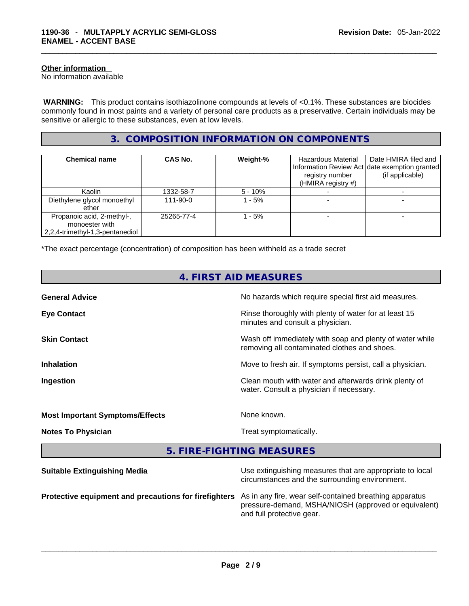#### **Other information**

No information available

 **WARNING:** This product contains isothiazolinone compounds at levels of <0.1%. These substances are biocides commonly found in most paints and a variety of personal care products as a preservative. Certain individuals may be sensitive or allergic to these substances, even at low levels.

## **3. COMPOSITION INFORMATION ON COMPONENTS**

| <b>Chemical name</b>                                                            | CAS No.        | Weight-%  | Hazardous Material<br>registry number<br>(HMIRA registry #) | Date HMIRA filed and<br>Information Review Act date exemption granted<br>(if applicable) |
|---------------------------------------------------------------------------------|----------------|-----------|-------------------------------------------------------------|------------------------------------------------------------------------------------------|
| Kaolin                                                                          | 1332-58-7      | $5 - 10%$ |                                                             |                                                                                          |
| Diethylene glycol monoethyl<br>ether                                            | $111 - 90 - 0$ | 1 - 5%    |                                                             |                                                                                          |
| Propanoic acid, 2-methyl-,<br>monoester with<br>2,2,4-trimethyl-1,3-pentanediol | 25265-77-4     | l - 5%    |                                                             |                                                                                          |

\*The exact percentage (concentration) of composition has been withheld as a trade secret

| 4. FIRST AID MEASURES                                 |                                                                                                                 |  |
|-------------------------------------------------------|-----------------------------------------------------------------------------------------------------------------|--|
| <b>General Advice</b>                                 | No hazards which require special first aid measures.                                                            |  |
| <b>Eye Contact</b>                                    | Rinse thoroughly with plenty of water for at least 15<br>minutes and consult a physician.                       |  |
| <b>Skin Contact</b>                                   | Wash off immediately with soap and plenty of water while<br>removing all contaminated clothes and shoes.        |  |
| <b>Inhalation</b>                                     | Move to fresh air. If symptoms persist, call a physician.                                                       |  |
| Ingestion                                             | Clean mouth with water and afterwards drink plenty of<br>water. Consult a physician if necessary.               |  |
| <b>Most Important Symptoms/Effects</b>                | None known.                                                                                                     |  |
| <b>Notes To Physician</b>                             | Treat symptomatically.                                                                                          |  |
|                                                       | 5. FIRE-FIGHTING MEASURES                                                                                       |  |
| <b>Suitable Extinguishing Media</b>                   | Use extinguishing measures that are appropriate to local<br>circumstances and the surrounding environment.      |  |
| Protective equipment and precautions for firefighters | As in any fire, wear self-contained breathing apparatus<br>pressure-demand, MSHA/NIOSH (approved or equivalent) |  |

and full protective gear. \_\_\_\_\_\_\_\_\_\_\_\_\_\_\_\_\_\_\_\_\_\_\_\_\_\_\_\_\_\_\_\_\_\_\_\_\_\_\_\_\_\_\_\_\_\_\_\_\_\_\_\_\_\_\_\_\_\_\_\_\_\_\_\_\_\_\_\_\_\_\_\_\_\_\_\_\_\_\_\_\_\_\_\_\_\_\_\_\_\_\_\_\_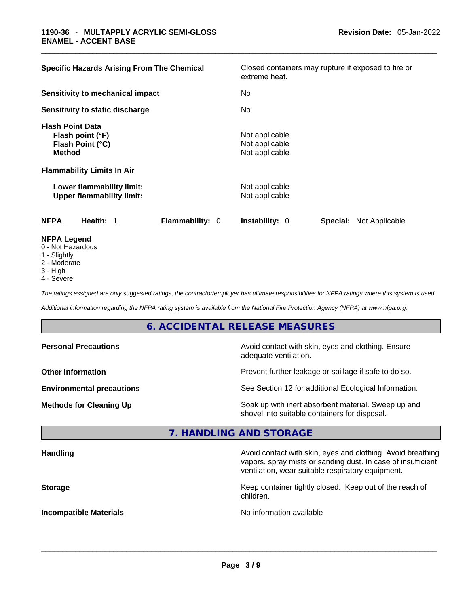| <b>Specific Hazards Arising From The Chemical</b>                                | Closed containers may rupture if exposed to fire or<br>extreme heat. |  |  |
|----------------------------------------------------------------------------------|----------------------------------------------------------------------|--|--|
| <b>Sensitivity to mechanical impact</b>                                          | No.                                                                  |  |  |
| Sensitivity to static discharge                                                  | No.                                                                  |  |  |
| <b>Flash Point Data</b><br>Flash point (°F)<br>Flash Point (°C)<br><b>Method</b> | Not applicable<br>Not applicable<br>Not applicable                   |  |  |
| <b>Flammability Limits In Air</b>                                                |                                                                      |  |  |
| Lower flammability limit:<br><b>Upper flammability limit:</b>                    | Not applicable<br>Not applicable                                     |  |  |
| <b>Flammability: 0</b><br>NFPA<br>Health: 1                                      | <b>Instability: 0</b><br><b>Special: Not Applicable</b>              |  |  |
| <b>NFPA Legend</b><br>0 - Not Hazardous                                          |                                                                      |  |  |

- 1 Slightly
- 2 Moderate
- 3 High
- 4 Severe

*The ratings assigned are only suggested ratings, the contractor/employer has ultimate responsibilities for NFPA ratings where this system is used.* 

*Additional information regarding the NFPA rating system is available from the National Fire Protection Agency (NFPA) at www.nfpa.org.* 

#### **6. ACCIDENTAL RELEASE MEASURES**

| <b>Personal Precautions</b>      | Avoid contact with skin, eyes and clothing. Ensure<br>adequate ventilation.                          |
|----------------------------------|------------------------------------------------------------------------------------------------------|
| <b>Other Information</b>         | Prevent further leakage or spillage if safe to do so.                                                |
| <b>Environmental precautions</b> | See Section 12 for additional Ecological Information.                                                |
| <b>Methods for Cleaning Up</b>   | Soak up with inert absorbent material. Sweep up and<br>shovel into suitable containers for disposal. |

#### **7. HANDLING AND STORAGE**

| Avoid contact with skin, eyes and clothing. Avoid breathing<br>vapors, spray mists or sanding dust. In case of insufficient<br>ventilation, wear suitable respiratory equipment. |
|----------------------------------------------------------------------------------------------------------------------------------------------------------------------------------|
| Keep container tightly closed. Keep out of the reach of<br>children.                                                                                                             |
| No information available                                                                                                                                                         |
|                                                                                                                                                                                  |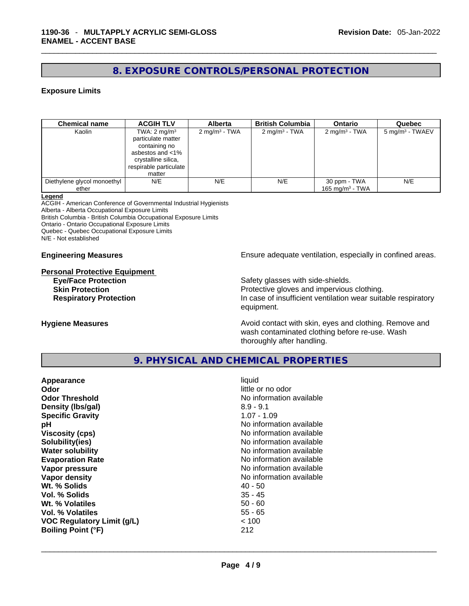## **8. EXPOSURE CONTROLS/PERSONAL PROTECTION**

#### **Exposure Limits**

| <b>Chemical name</b>                 | <b>ACGIH TLV</b>                                                                                                                              | <b>Alberta</b>           | <b>British Columbia</b>  | <b>Ontario</b>                              | Quebec                      |
|--------------------------------------|-----------------------------------------------------------------------------------------------------------------------------------------------|--------------------------|--------------------------|---------------------------------------------|-----------------------------|
| Kaolin                               | TWA: $2 \text{ mg/m}^3$<br>particulate matter<br>containing no<br>asbestos and <1%<br>crystalline silica,<br>respirable particulate<br>matter | $2 \text{ mg/m}^3$ - TWA | $2 \text{ mg/m}^3$ - TWA | $2 \text{ mg/m}^3$ - TWA                    | 5 mg/m <sup>3</sup> - TWAEV |
| Diethylene glycol monoethyl<br>ether | N/E                                                                                                                                           | N/E                      | N/E                      | 30 ppm - TWA<br>165 mg/m <sup>3</sup> - TWA | N/E                         |

#### **Legend**

ACGIH - American Conference of Governmental Industrial Hygienists Alberta - Alberta Occupational Exposure Limits British Columbia - British Columbia Occupational Exposure Limits Ontario - Ontario Occupational Exposure Limits Quebec - Quebec Occupational Exposure Limits N/E - Not established

#### **Personal Protective Equipment**

**Engineering Measures Ensure 2018** Ensure adequate ventilation, especially in confined areas.

**Eye/Face Protection Safety glasses with side-shields. Skin Protection Protection Protective gloves and impervious clothing. Respiratory Protection In case of insufficient ventilation wear suitable respiratory** equipment.

**Hygiene Measures Avoid contact with skin, eyes and clothing. Remove and Avoid contact with skin, eyes and clothing. Remove and** wash contaminated clothing before re-use. Wash thoroughly after handling.

#### **9. PHYSICAL AND CHEMICAL PROPERTIES**

| Appearance                        | liquid                   |
|-----------------------------------|--------------------------|
| Odor                              | little or no odor        |
| <b>Odor Threshold</b>             | No information available |
| Density (Ibs/gal)                 | $8.9 - 9.1$              |
| <b>Specific Gravity</b>           | $1.07 - 1.09$            |
| рH                                | No information available |
| <b>Viscosity (cps)</b>            | No information available |
| Solubility(ies)                   | No information available |
| <b>Water solubility</b>           | No information available |
| <b>Evaporation Rate</b>           | No information available |
| Vapor pressure                    | No information available |
| Vapor density                     | No information available |
| Wt. % Solids                      | $40 - 50$                |
| Vol. % Solids                     | $35 - 45$                |
| Wt. % Volatiles                   | $50 - 60$                |
| Vol. % Volatiles                  | $55 - 65$                |
| <b>VOC Regulatory Limit (g/L)</b> | < 100                    |
| <b>Boiling Point (°F)</b>         | 212                      |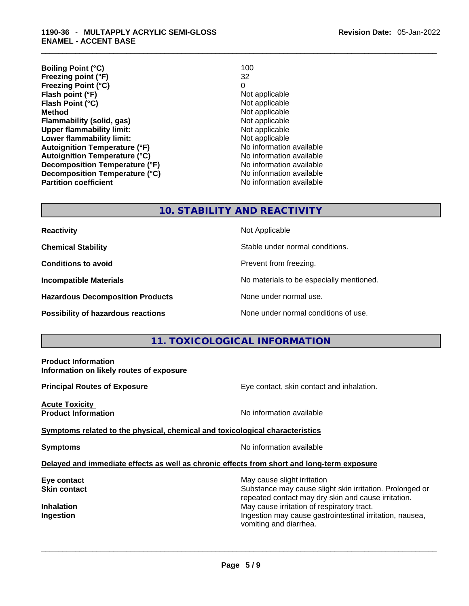**Boiling Point (°C)** 100 **Freezing point (°F)** 32 **Freezing Point (°C)** 0 **Flash point (°F)** Not applicable **Flash Point (°C)** Not applicable **Method** Not applicable **Flammability (solid, gas)** Not applicable **Upper flammability limit:**<br> **Lower flammability limit:** Not applicable Not applicable **Lower flammability limit:**<br> **Autoignition Temperature (°F)** Not applicable Not applicable available **Autoignition Temperature (°F) Autoignition Temperature (°C)**<br> **Decomposition Temperature (°F)** No information available **Decomposition Temperature (°F) Decomposition Temperature (°C)** No information available **Partition coefficient** No information available

#### **10. STABILITY AND REACTIVITY**

**Reactivity Not Applicable Not Applicable Chemical Stability Stable under normal conditions. Conditions to avoid Prevent from freezing. Incompatible Materials No materials** No materials to be especially mentioned. **Hazardous Decomposition Products** None under normal use. **Possibility of hazardous reactions** None under normal conditions of use.

## **11. TOXICOLOGICAL INFORMATION**

## **Product Information Information on likely routes of exposure Principal Routes of Exposure Exposure** Eye contact, skin contact and inhalation. **Acute Toxicity Product Information Intervention** available **No** information available **Symptoms related to the physical,chemical and toxicological characteristics Symptoms Symptoms No information available Delayed and immediate effects as well as chronic effects from short and long-term exposure Eye contact Exercise 3 May cause slight irritation Skin contact Substance may cause slight skin irritation. Prolonged or** Substance may cause slight skin irritation. Prolonged or repeated contact may dry skin and cause irritation. **Inhalation Inhalation Inhalation May cause irritation of respiratory tract. Ingestion Ingestion Index is a structure of the line of the line of the line of the line of the line of the line of the line of the line of the line of the line of the line of the line of the line of the line of the l** vomiting and diarrhea. \_\_\_\_\_\_\_\_\_\_\_\_\_\_\_\_\_\_\_\_\_\_\_\_\_\_\_\_\_\_\_\_\_\_\_\_\_\_\_\_\_\_\_\_\_\_\_\_\_\_\_\_\_\_\_\_\_\_\_\_\_\_\_\_\_\_\_\_\_\_\_\_\_\_\_\_\_\_\_\_\_\_\_\_\_\_\_\_\_\_\_\_\_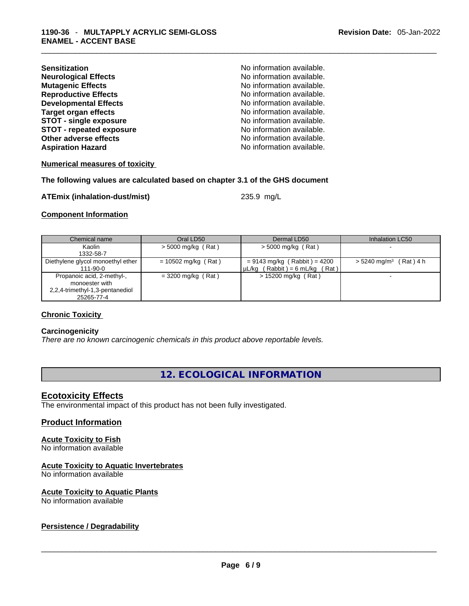| <b>Sensitization</b>            |
|---------------------------------|
| <b>Neurological Effects</b>     |
| <b>Mutagenic Effects</b>        |
| <b>Reproductive Effects</b>     |
| <b>Developmental Effects</b>    |
| <b>Target organ effects</b>     |
| <b>STOT - single exposure</b>   |
| <b>STOT - repeated exposure</b> |
| <b>Other adverse effects</b>    |
| <b>Aspiration Hazard</b>        |

**Sensitization** No information available. **No information available.** No information available. **Reproductive Effects** No information available. No information available. **No information available. STOT - single exposure** No information available. **No information available.** No information available. No information available.

**Numerical measures of toxicity**

#### **The following values are calculated based on chapter 3.1 of the GHS document**

#### **ATEmix (inhalation-dust/mist)** 235.9 mg/L

#### **Component Information**

| Chemical name                                 | Oral LD50             | Dermal LD50                         | Inhalation LC50                      |
|-----------------------------------------------|-----------------------|-------------------------------------|--------------------------------------|
| Kaolin                                        | $>$ 5000 mg/kg (Rat)  | $>$ 5000 mg/kg (Rat)                |                                      |
| 1332-58-7                                     |                       |                                     |                                      |
| Diethylene glycol monoethyl ether             | $= 10502$ mg/kg (Rat) | $= 9143$ mg/kg (Rabbit) = 4200      | $> 5240$ mg/m <sup>3</sup> (Rat) 4 h |
| 111-90-0                                      |                       | $\mu L/kg$ (Rabbit) = 6 mL/kg (Rat) |                                      |
| Propanoic acid, 2-methyl-,<br>monoester with  | $=$ 3200 mg/kg (Rat)  | > 15200 mg/kg (Rat)                 |                                      |
| 2,2,4-trimethyl-1,3-pentanediol<br>25265-77-4 |                       |                                     |                                      |

#### **Chronic Toxicity**

#### **Carcinogenicity**

*There are no known carcinogenic chemicals in this product above reportable levels.* 

#### **12. ECOLOGICAL INFORMATION**

#### **Ecotoxicity Effects**

The environmental impact of this product has not been fully investigated.

#### **Product Information**

#### **Acute Toxicity to Fish**

No information available

#### **Acute Toxicity to Aquatic Invertebrates**

No information available

#### **Acute Toxicity to Aquatic Plants**

# No information available \_\_\_\_\_\_\_\_\_\_\_\_\_\_\_\_\_\_\_\_\_\_\_\_\_\_\_\_\_\_\_\_\_\_\_\_\_\_\_\_\_\_\_\_\_\_\_\_\_\_\_\_\_\_\_\_\_\_\_\_\_\_\_\_\_\_\_\_\_\_\_\_\_\_\_\_\_\_\_\_\_\_\_\_\_\_\_\_\_\_\_\_\_ **Persistence / Degradability**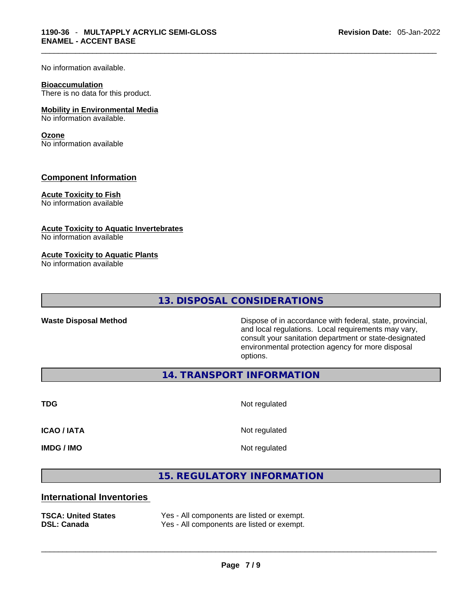No information available.

#### **Bioaccumulation**

There is no data for this product.

#### **Mobility in Environmental Media**

No information available.

#### **Ozone**

No information available

#### **Component Information**

#### **Acute Toxicity to Fish**

No information available

#### **Acute Toxicity to Aquatic Invertebrates**

No information available

#### **Acute Toxicity to Aquatic Plants**

No information available

**13. DISPOSAL CONSIDERATIONS** 

**Waste Disposal Method** Dispose of in accordance with federal, state, provincial, and local regulations. Local requirements may vary, consult your sanitation department or state-designated environmental protection agency for more disposal options.

**14. TRANSPORT INFORMATION** 

**TDG** Not regulated

**ICAO / IATA** Not regulated

**IMDG / IMO** Not regulated

## **15. REGULATORY INFORMATION**

#### **International Inventories**

| <b>TSCA: United States</b> | Yes - All components are listed or exempt. |
|----------------------------|--------------------------------------------|
| <b>DSL: Canada</b>         | Yes - All components are listed or exempt. |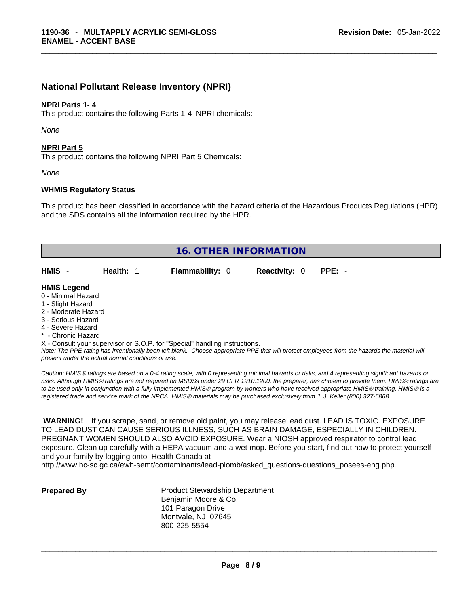#### **National Pollutant Release Inventory (NPRI)**

#### **NPRI Parts 1- 4**

This product contains the following Parts 1-4 NPRI chemicals:

*None*

#### **NPRI Part 5**

This product contains the following NPRI Part 5 Chemicals:

*None*

#### **WHMIS Regulatory Status**

This product has been classified in accordance with the hazard criteria of the Hazardous Products Regulations (HPR) and the SDS contains all the information required by the HPR.

| <b>16. OTHER INFORMATION</b>                                                                                                                          |           |                                                                            |                      |                                                                                                                                               |
|-------------------------------------------------------------------------------------------------------------------------------------------------------|-----------|----------------------------------------------------------------------------|----------------------|-----------------------------------------------------------------------------------------------------------------------------------------------|
| HMIS                                                                                                                                                  | Health: 1 | <b>Flammability: 0</b>                                                     | <b>Reactivity: 0</b> | $PPE: -$                                                                                                                                      |
| <b>HMIS Legend</b><br>0 - Minimal Hazard<br>1 - Slight Hazard<br>2 - Moderate Hazard<br>3 - Serious Hazard<br>4 - Severe Hazard<br>* - Chronic Hazard |           |                                                                            |                      |                                                                                                                                               |
|                                                                                                                                                       |           | X - Consult your supervisor or S.O.P. for "Special" handling instructions. |                      | Note: The DDE rating has intentionally been left blank. Choose appropriate DDE that will protect employees from the bazards the material will |

*Note: The PPE rating has intentionally been left blank. Choose appropriate PPE that will protect employees from the hazards the material will present under the actual normal conditions of use.* 

*Caution: HMISÒ ratings are based on a 0-4 rating scale, with 0 representing minimal hazards or risks, and 4 representing significant hazards or risks. Although HMISÒ ratings are not required on MSDSs under 29 CFR 1910.1200, the preparer, has chosen to provide them. HMISÒ ratings are to be used only in conjunction with a fully implemented HMISÒ program by workers who have received appropriate HMISÒ training. HMISÒ is a registered trade and service mark of the NPCA. HMISÒ materials may be purchased exclusively from J. J. Keller (800) 327-6868.* 

 **WARNING!** If you scrape, sand, or remove old paint, you may release lead dust. LEAD IS TOXIC. EXPOSURE TO LEAD DUST CAN CAUSE SERIOUS ILLNESS, SUCH AS BRAIN DAMAGE, ESPECIALLY IN CHILDREN. PREGNANT WOMEN SHOULD ALSO AVOID EXPOSURE.Wear a NIOSH approved respirator to control lead exposure. Clean up carefully with a HEPA vacuum and a wet mop. Before you start, find out how to protect yourself and your family by logging onto Health Canada at

http://www.hc-sc.gc.ca/ewh-semt/contaminants/lead-plomb/asked\_questions-questions\_posees-eng.php.

**Prepared By Product Stewardship Department** Benjamin Moore & Co. 101 Paragon Drive Montvale, NJ 07645 800-225-5554